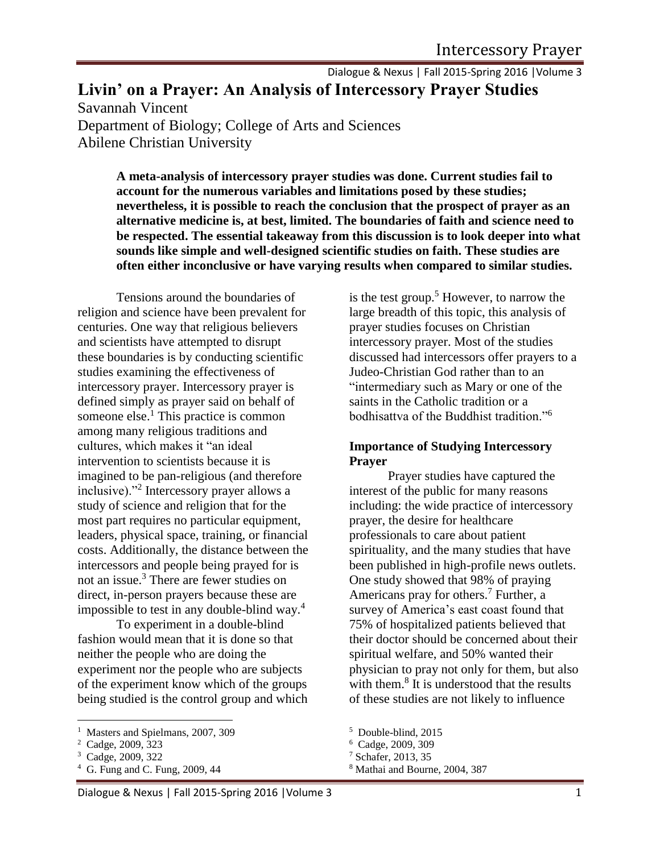Dialogue & Nexus | Fall 2015-Spring 2016 |Volume 3

**Livin' on a Prayer: An Analysis of Intercessory Prayer Studies**

Savannah Vincent Department of Biology; College of Arts and Sciences Abilene Christian University

> **A meta-analysis of intercessory prayer studies was done. Current studies fail to account for the numerous variables and limitations posed by these studies; nevertheless, it is possible to reach the conclusion that the prospect of prayer as an alternative medicine is, at best, limited. The boundaries of faith and science need to be respected. The essential takeaway from this discussion is to look deeper into what sounds like simple and well-designed scientific studies on faith. These studies are often either inconclusive or have varying results when compared to similar studies.**

Tensions around the boundaries of religion and science have been prevalent for centuries. One way that religious believers and scientists have attempted to disrupt these boundaries is by conducting scientific studies examining the effectiveness of intercessory prayer. Intercessory prayer is defined simply as prayer said on behalf of someone else. $<sup>1</sup>$  This practice is common</sup> among many religious traditions and cultures, which makes it "an ideal intervention to scientists because it is imagined to be pan-religious (and therefore inclusive)."<sup>2</sup> Intercessory prayer allows a study of science and religion that for the most part requires no particular equipment, leaders, physical space, training, or financial costs. Additionally, the distance between the intercessors and people being prayed for is not an issue.<sup>3</sup> There are fewer studies on direct, in-person prayers because these are impossible to test in any double-blind way.<sup>4</sup>

To experiment in a double-blind fashion would mean that it is done so that neither the people who are doing the experiment nor the people who are subjects of the experiment know which of the groups being studied is the control group and which

 $\overline{a}$ 

<sup>4</sup> G. Fung and C. Fung, 2009, 44

is the test group.<sup>5</sup> However, to narrow the large breadth of this topic, this analysis of prayer studies focuses on Christian intercessory prayer. Most of the studies discussed had intercessors offer prayers to a Judeo-Christian God rather than to an "intermediary such as Mary or one of the saints in the Catholic tradition or a bodhisattva of the Buddhist tradition."<sup>6</sup>

### **Importance of Studying Intercessory Prayer**

Prayer studies have captured the interest of the public for many reasons including: the wide practice of intercessory prayer, the desire for healthcare professionals to care about patient spirituality, and the many studies that have been published in high-profile news outlets. One study showed that 98% of praying Americans pray for others.<sup>7</sup> Further, a survey of America's east coast found that 75% of hospitalized patients believed that their doctor should be concerned about their spiritual welfare, and 50% wanted their physician to pray not only for them, but also with them.<sup>8</sup> It is understood that the results of these studies are not likely to influence

<sup>&</sup>lt;sup>1</sup> Masters and Spielmans, 2007, 309

<sup>2</sup> Cadge, 2009, 323

<sup>3</sup> Cadge, 2009, 322

<sup>5</sup> Double-blind, 2015

<sup>6</sup> Cadge, 2009, 309

<sup>7</sup> Schafer, 2013, 35

<sup>8</sup> Mathai and Bourne, 2004, 387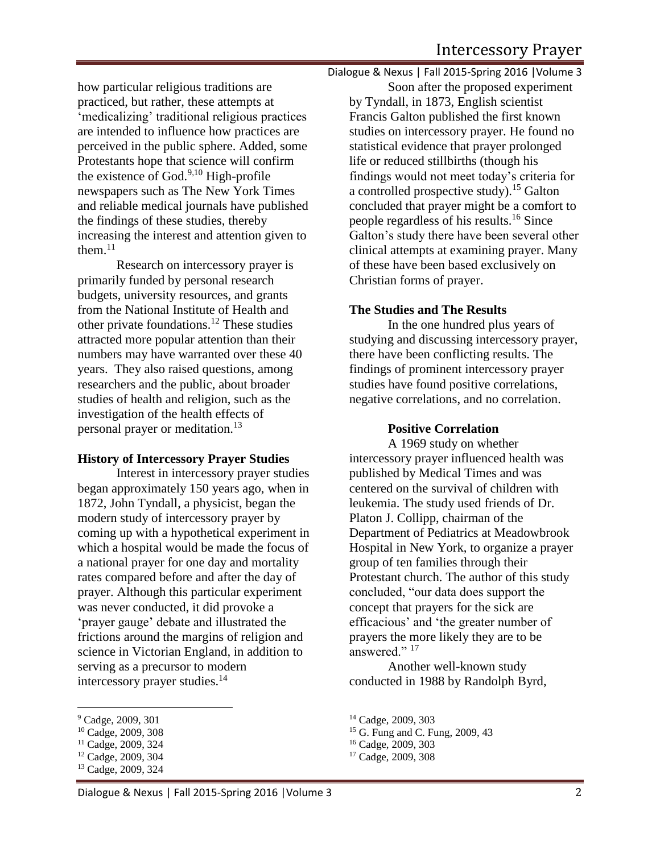how particular religious traditions are practiced, but rather, these attempts at 'medicalizing' traditional religious practices are intended to influence how practices are perceived in the public sphere. Added, some Protestants hope that science will confirm the existence of God. $9,10$  High-profile newspapers such as The New York Times and reliable medical journals have published the findings of these studies, thereby increasing the interest and attention given to them. $^{11}$ 

Research on intercessory prayer is primarily funded by personal research budgets, university resources, and grants from the National Institute of Health and other private foundations.<sup>12</sup> These studies attracted more popular attention than their numbers may have warranted over these 40 years. They also raised questions, among researchers and the public, about broader studies of health and religion, such as the investigation of the health effects of personal prayer or meditation.<sup>13</sup>

## **History of Intercessory Prayer Studies**

Interest in intercessory prayer studies began approximately 150 years ago, when in 1872, John Tyndall, a physicist, began the modern study of intercessory prayer by coming up with a hypothetical experiment in which a hospital would be made the focus of a national prayer for one day and mortality rates compared before and after the day of prayer. Although this particular experiment was never conducted, it did provoke a 'prayer gauge' debate and illustrated the frictions around the margins of religion and science in Victorian England, in addition to serving as a precursor to modern intercessory prayer studies.<sup>14</sup>

l

Dialogue & Nexus | Fall 2015-Spring 2016 |Volume 3

Soon after the proposed experiment by Tyndall, in 1873, English scientist Francis Galton published the first known studies on intercessory prayer. He found no statistical evidence that prayer prolonged life or reduced stillbirths (though his findings would not meet today's criteria for a controlled prospective study).<sup>15</sup> Galton concluded that prayer might be a comfort to people regardless of his results.<sup>16</sup> Since Galton's study there have been several other clinical attempts at examining prayer. Many of these have been based exclusively on Christian forms of prayer.

## **The Studies and The Results**

In the one hundred plus years of studying and discussing intercessory prayer, there have been conflicting results. The findings of prominent intercessory prayer studies have found positive correlations, negative correlations, and no correlation.

#### **Positive Correlation**

A 1969 study on whether intercessory prayer influenced health was published by Medical Times and was centered on the survival of children with leukemia. The study used friends of Dr. Platon J. Collipp, chairman of the Department of Pediatrics at Meadowbrook Hospital in New York, to organize a prayer group of ten families through their Protestant church. The author of this study concluded, "our data does support the concept that prayers for the sick are efficacious' and 'the greater number of prayers the more likely they are to be answered."<sup>17</sup>

Another well-known study conducted in 1988 by Randolph Byrd,

<sup>9</sup> Cadge, 2009, 301

<sup>10</sup> Cadge, 2009, 308

<sup>11</sup> Cadge, 2009, 324

<sup>12</sup> Cadge, 2009, 304

<sup>13</sup> Cadge, 2009, 324

<sup>14</sup> Cadge, 2009, 303

<sup>15</sup> G. Fung and C. Fung, 2009, 43

<sup>16</sup> Cadge, 2009, 303

<sup>17</sup> Cadge, 2009, 308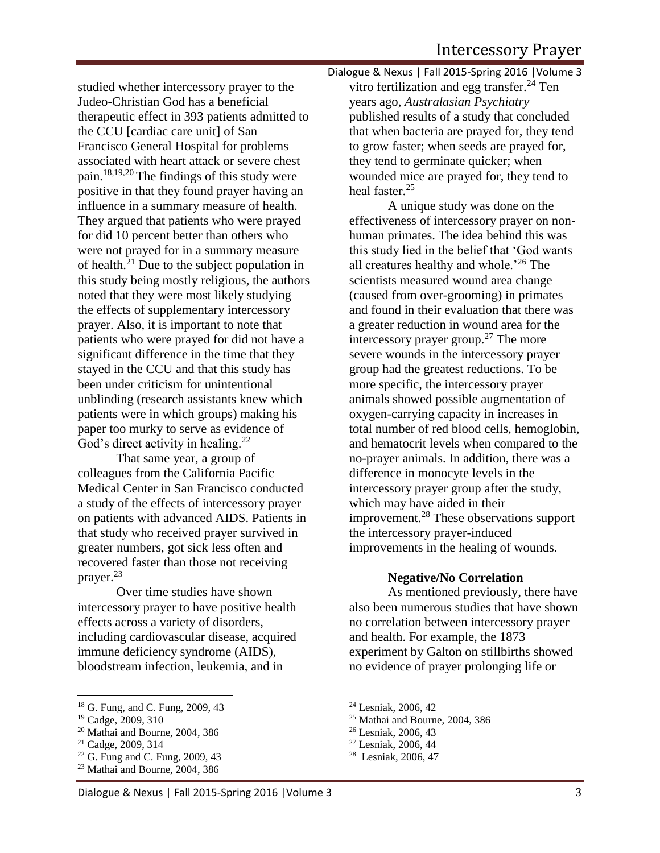studied whether intercessory prayer to the Judeo-Christian God has a beneficial therapeutic effect in 393 patients admitted to the CCU [cardiac care unit] of San Francisco General Hospital for problems associated with heart attack or severe chest pain.18,19,20 The findings of this study were positive in that they found prayer having an influence in a summary measure of health. They argued that patients who were prayed for did 10 percent better than others who were not prayed for in a summary measure of health.<sup>21</sup> Due to the subject population in this study being mostly religious, the authors noted that they were most likely studying the effects of supplementary intercessory prayer. Also, it is important to note that patients who were prayed for did not have a significant difference in the time that they stayed in the CCU and that this study has been under criticism for unintentional unblinding (research assistants knew which patients were in which groups) making his paper too murky to serve as evidence of God's direct activity in healing.<sup>22</sup>

That same year, a group of colleagues from the California Pacific Medical Center in San Francisco conducted a study of the effects of intercessory prayer on patients with advanced AIDS. Patients in that study who received prayer survived in greater numbers, got sick less often and recovered faster than those not receiving prayer.<sup>23</sup>

Over time studies have shown intercessory prayer to have positive health effects across a variety of disorders, including cardiovascular disease, acquired immune deficiency syndrome (AIDS), bloodstream infection, leukemia, and in

 $\overline{\phantom{a}}$ 

<sup>20</sup> Mathai and Bourne, 2004, 386

- <sup>22</sup> G. Fung and C. Fung, 2009, 43
- <sup>23</sup> Mathai and Bourne, 2004, 386

Dialogue & Nexus | Fall 2015-Spring 2016 |Volume 3 vitro fertilization and egg transfer.<sup>24</sup> Ten years ago, *Australasian Psychiatry* published results of a study that concluded that when bacteria are prayed for, they tend to grow faster; when seeds are prayed for, they tend to germinate quicker; when wounded mice are prayed for, they tend to heal faster.<sup>25</sup>

A unique study was done on the effectiveness of intercessory prayer on nonhuman primates. The idea behind this was this study lied in the belief that 'God wants all creatures healthy and whole.'<sup>26</sup> The scientists measured wound area change (caused from over-grooming) in primates and found in their evaluation that there was a greater reduction in wound area for the intercessory prayer group.<sup>27</sup> The more severe wounds in the intercessory prayer group had the greatest reductions. To be more specific, the intercessory prayer animals showed possible augmentation of oxygen-carrying capacity in increases in total number of red blood cells, hemoglobin, and hematocrit levels when compared to the no-prayer animals. In addition, there was a difference in monocyte levels in the intercessory prayer group after the study, which may have aided in their improvement.<sup>28</sup> These observations support the intercessory prayer-induced improvements in the healing of wounds.

#### **Negative/No Correlation**

As mentioned previously, there have also been numerous studies that have shown no correlation between intercessory prayer and health. For example, the 1873 experiment by Galton on stillbirths showed no evidence of prayer prolonging life or

<sup>18</sup> G. Fung, and C. Fung, 2009, 43

<sup>19</sup> Cadge, 2009, 310

<sup>21</sup> Cadge, 2009, 314

<sup>24</sup> Lesniak, 2006, 42

<sup>25</sup> Mathai and Bourne, 2004, 386

<sup>26</sup> Lesniak, 2006, 43

<sup>27</sup> Lesniak, 2006, 44

<sup>28</sup> Lesniak, 2006, 47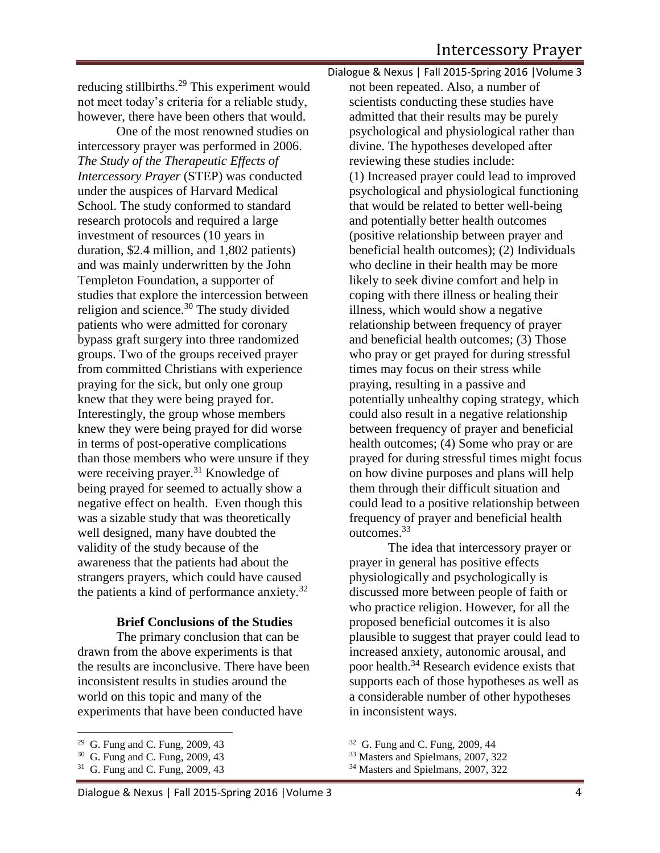reducing stillbirths.<sup>29</sup> This experiment would not meet today's criteria for a reliable study, however, there have been others that would.

One of the most renowned studies on intercessory prayer was performed in 2006. *The Study of the Therapeutic Effects of Intercessory Prayer* (STEP) was conducted under the auspices of Harvard Medical School. The study conformed to standard research protocols and required a large investment of resources (10 years in duration, \$2.4 million, and 1,802 patients) and was mainly underwritten by the John Templeton Foundation, a supporter of studies that explore the intercession between religion and science.<sup>30</sup> The study divided patients who were admitted for coronary bypass graft surgery into three randomized groups. Two of the groups received prayer from committed Christians with experience praying for the sick, but only one group knew that they were being prayed for. Interestingly, the group whose members knew they were being prayed for did worse in terms of post-operative complications than those members who were unsure if they were receiving prayer.<sup>31</sup> Knowledge of being prayed for seemed to actually show a negative effect on health. Even though this was a sizable study that was theoretically well designed, many have doubted the validity of the study because of the awareness that the patients had about the strangers prayers, which could have caused the patients a kind of performance anxiety.<sup>32</sup>

#### **Brief Conclusions of the Studies**

The primary conclusion that can be drawn from the above experiments is that the results are inconclusive. There have been inconsistent results in studies around the world on this topic and many of the experiments that have been conducted have

Dialogue & Nexus | Fall 2015-Spring 2016 |Volume 3 not been repeated. Also, a number of scientists conducting these studies have admitted that their results may be purely psychological and physiological rather than divine. The hypotheses developed after reviewing these studies include: (1) Increased prayer could lead to improved psychological and physiological functioning that would be related to better well-being and potentially better health outcomes (positive relationship between prayer and beneficial health outcomes); (2) Individuals who decline in their health may be more likely to seek divine comfort and help in coping with there illness or healing their illness, which would show a negative relationship between frequency of prayer and beneficial health outcomes; (3) Those who pray or get prayed for during stressful times may focus on their stress while praying, resulting in a passive and potentially unhealthy coping strategy, which could also result in a negative relationship between frequency of prayer and beneficial health outcomes; (4) Some who pray or are prayed for during stressful times might focus on how divine purposes and plans will help them through their difficult situation and could lead to a positive relationship between frequency of prayer and beneficial health outcomes. 33

The idea that intercessory prayer or prayer in general has positive effects physiologically and psychologically is discussed more between people of faith or who practice religion. However, for all the proposed beneficial outcomes it is also plausible to suggest that prayer could lead to increased anxiety, autonomic arousal, and poor health.<sup>34</sup> Research evidence exists that supports each of those hypotheses as well as a considerable number of other hypotheses in inconsistent ways.

 $\overline{\phantom{a}}$ <sup>29</sup> G. Fung and C. Fung, 2009, 43

<sup>30</sup> G. Fung and C. Fung, 2009, 43

<sup>31</sup> G. Fung and C. Fung, 2009, 43

<sup>&</sup>lt;sup>32</sup> G. Fung and C. Fung, 2009, 44

<sup>33</sup> Masters and Spielmans, 2007, 322

<sup>&</sup>lt;sup>34</sup> Masters and Spielmans, 2007, 322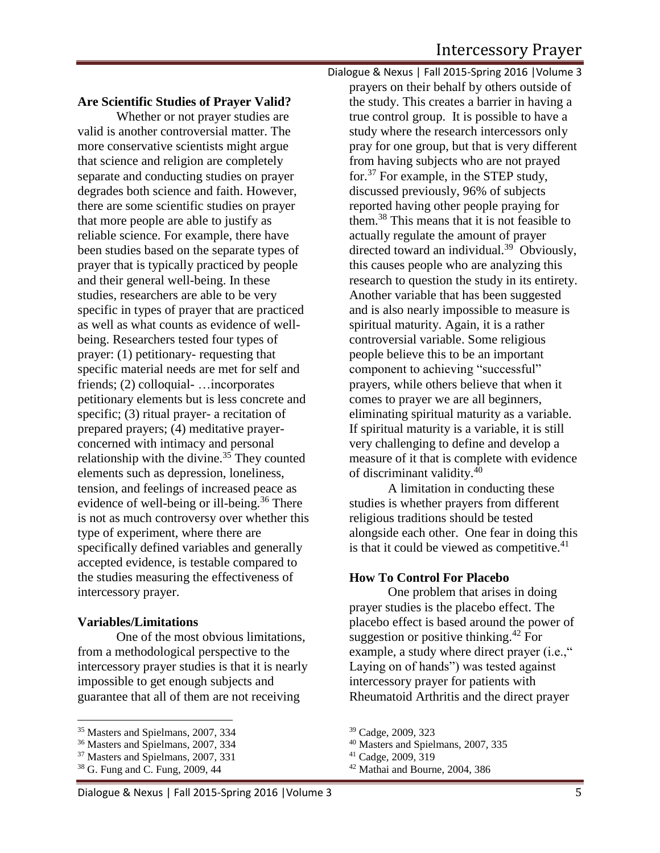#### **Are Scientific Studies of Prayer Valid?**

Whether or not prayer studies are valid is another controversial matter. The more conservative scientists might argue that science and religion are completely separate and conducting studies on prayer degrades both science and faith. However, there are some scientific studies on prayer that more people are able to justify as reliable science. For example, there have been studies based on the separate types of prayer that is typically practiced by people and their general well-being. In these studies, researchers are able to be very specific in types of prayer that are practiced as well as what counts as evidence of wellbeing. Researchers tested four types of prayer: (1) petitionary- requesting that specific material needs are met for self and friends; (2) colloquial- …incorporates petitionary elements but is less concrete and specific; (3) ritual prayer- a recitation of prepared prayers; (4) meditative prayerconcerned with intimacy and personal relationship with the divine.<sup>35</sup> They counted elements such as depression, loneliness, tension, and feelings of increased peace as evidence of well-being or ill-being.<sup>36</sup> There is not as much controversy over whether this type of experiment, where there are specifically defined variables and generally accepted evidence, is testable compared to the studies measuring the effectiveness of intercessory prayer.

#### **Variables/Limitations**

One of the most obvious limitations, from a methodological perspective to the intercessory prayer studies is that it is nearly impossible to get enough subjects and guarantee that all of them are not receiving

 $\overline{a}$ 

Dialogue & Nexus | Fall 2015-Spring 2016 |Volume 3 prayers on their behalf by others outside of the study. This creates a barrier in having a true control group. It is possible to have a study where the research intercessors only pray for one group, but that is very different from having subjects who are not prayed for.<sup>37</sup> For example, in the STEP study, discussed previously, 96% of subjects reported having other people praying for them.<sup>38</sup> This means that it is not feasible to actually regulate the amount of prayer directed toward an individual.<sup>39</sup> Obviously, this causes people who are analyzing this research to question the study in its entirety. Another variable that has been suggested and is also nearly impossible to measure is spiritual maturity. Again, it is a rather controversial variable. Some religious people believe this to be an important component to achieving "successful" prayers, while others believe that when it comes to prayer we are all beginners, eliminating spiritual maturity as a variable. If spiritual maturity is a variable, it is still very challenging to define and develop a measure of it that is complete with evidence of discriminant validity.<sup>40</sup>

A limitation in conducting these studies is whether prayers from different religious traditions should be tested alongside each other. One fear in doing this is that it could be viewed as competitive. $41$ 

#### **How To Control For Placebo**

One problem that arises in doing prayer studies is the placebo effect. The placebo effect is based around the power of suggestion or positive thinking.<sup>42</sup> For example, a study where direct prayer (i.e.," Laying on of hands") was tested against intercessory prayer for patients with Rheumatoid Arthritis and the direct prayer

<sup>&</sup>lt;sup>35</sup> Masters and Spielmans, 2007, 334

<sup>36</sup> Masters and Spielmans, 2007, 334

<sup>&</sup>lt;sup>37</sup> Masters and Spielmans, 2007, 331

<sup>38</sup> G. Fung and C. Fung, 2009, 44

<sup>39</sup> Cadge, 2009, 323

<sup>40</sup> Masters and Spielmans, 2007, 335

<sup>41</sup> Cadge, 2009, 319

<sup>42</sup> Mathai and Bourne, 2004, 386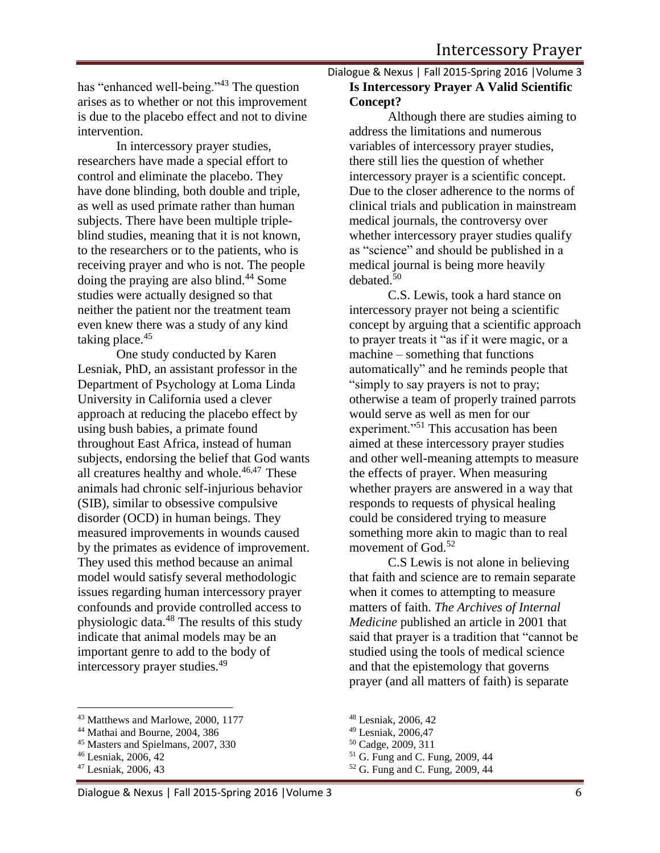has "enhanced well-being."<sup>43</sup> The question arises as to whether or not this improvement is due to the placebo effect and not to divine intervention.

In intercessory prayer studies, researchers have made a special effort to control and eliminate the placebo. They have done blinding, both double and triple, as well as used primate rather than human subjects. There have been multiple tripleblind studies, meaning that it is not known, to the researchers or to the patients, who is receiving prayer and who is not. The people doing the praying are also blind.<sup>44</sup> Some studies were actually designed so that neither the patient nor the treatment team even knew there was a study of any kind taking place.<sup>45</sup>

One study conducted by Karen Lesniak, PhD, an assistant professor in the Department of Psychology at Loma Linda University in California used a clever approach at reducing the placebo effect by using bush babies, a primate found throughout East Africa, instead of human subjects, endorsing the belief that God wants all creatures healthy and whole. $46,47$  These animals had chronic self-injurious behavior (SIB), similar to obsessive compulsive disorder (OCD) in human beings. They measured improvements in wounds caused by the primates as evidence of improvement. They used this method because an animal model would satisfy several methodologic issues regarding human intercessory prayer confounds and provide controlled access to physiologic data. $48$  The results of this study indicate that animal models may be an important genre to add to the body of intercessory prayer studies.<sup>49</sup>

# Dialogue & Nexus | Fall 2015-Spring 2016 |Volume 3 **Is Intercessory Prayer A Valid Scientific Concept?**

Although there are studies aiming to address the limitations and numerous variables of intercessory prayer studies, there still lies the question of whether intercessory prayer is a scientific concept. Due to the closer adherence to the norms of clinical trials and publication in mainstream medical journals, the controversy over whether intercessory prayer studies qualify as "science" and should be published in a medical journal is being more heavily debated. $50$ 

C.S. Lewis, took a hard stance on intercessory prayer not being a scientific concept by arguing that a scientific approach to prayer treats it "as if it were magic, or a machine – something that functions automatically" and he reminds people that "simply to say prayers is not to pray; otherwise a team of properly trained parrots would serve as well as men for our experiment."<sup>51</sup> This accusation has been aimed at these intercessory prayer studies and other well-meaning attempts to measure the effects of prayer. When measuring whether prayers are answered in a way that responds to requests of physical healing could be considered trying to measure something more akin to magic than to real movement of  $God.<sup>52</sup>$ 

C.S Lewis is not alone in believing that faith and science are to remain separate when it comes to attempting to measure matters of faith. *The Archives of Internal Medicine* published an article in 2001 that said that prayer is a tradition that "cannot be studied using the tools of medical science and that the epistemology that governs prayer (and all matters of faith) is separate

l <sup>43</sup> Matthews and Marlowe, 2000, 1177

<sup>44</sup> Mathai and Bourne, 2004, 386

<sup>45</sup> Masters and Spielmans, 2007, 330

<sup>46</sup> Lesniak, 2006, 42

<sup>47</sup> Lesniak, 2006, 43

<sup>48</sup> Lesniak, 2006, 42

<sup>49</sup> Lesniak, 2006,47

<sup>50</sup> Cadge, 2009, 311

<sup>51</sup> G. Fung and C. Fung, 2009, 44

<sup>52</sup> G. Fung and C. Fung, 2009, 44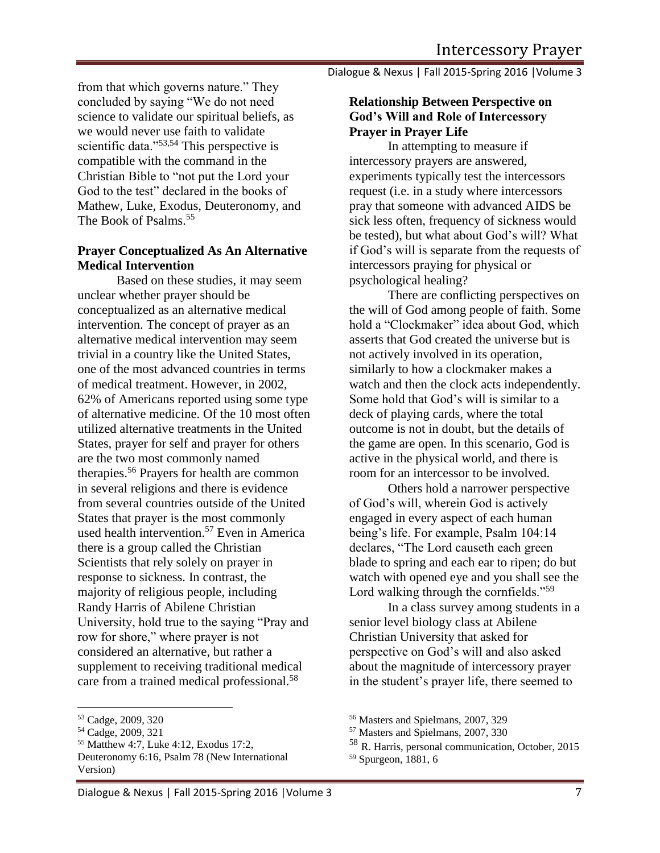from that which governs nature." They concluded by saying "We do not need science to validate our spiritual beliefs, as we would never use faith to validate scientific data."<sup>53,54</sup> This perspective is compatible with the command in the Christian Bible to "not put the Lord your God to the test" declared in the books of Mathew, Luke, Exodus, Deuteronomy, and The Book of Psalms.<sup>55</sup>

## **Prayer Conceptualized As An Alternative Medical Intervention**

Based on these studies, it may seem unclear whether prayer should be conceptualized as an alternative medical intervention. The concept of prayer as an alternative medical intervention may seem trivial in a country like the United States, one of the most advanced countries in terms of medical treatment. However, in 2002, 62% of Americans reported using some type of alternative medicine. Of the 10 most often utilized alternative treatments in the United States, prayer for self and prayer for others are the two most commonly named therapies.<sup>56</sup> Prayers for health are common in several religions and there is evidence from several countries outside of the United States that prayer is the most commonly used health intervention.<sup>57</sup> Even in America there is a group called the Christian Scientists that rely solely on prayer in response to sickness. In contrast, the majority of religious people, including Randy Harris of Abilene Christian University, hold true to the saying "Pray and row for shore," where prayer is not considered an alternative, but rather a supplement to receiving traditional medical care from a trained medical professional.<sup>58</sup>

l

Dialogue & Nexus | Fall 2015-Spring 2016 |Volume 3

### **Relationship Between Perspective on God's Will and Role of Intercessory Prayer in Prayer Life**

In attempting to measure if intercessory prayers are answered, experiments typically test the intercessors request (i.e. in a study where intercessors pray that someone with advanced AIDS be sick less often, frequency of sickness would be tested), but what about God's will? What if God's will is separate from the requests of intercessors praying for physical or psychological healing?

There are conflicting perspectives on the will of God among people of faith. Some hold a "Clockmaker" idea about God, which asserts that God created the universe but is not actively involved in its operation, similarly to how a clockmaker makes a watch and then the clock acts independently. Some hold that God's will is similar to a deck of playing cards, where the total outcome is not in doubt, but the details of the game are open. In this scenario, God is active in the physical world, and there is room for an intercessor to be involved.

Others hold a narrower perspective of God's will, wherein God is actively engaged in every aspect of each human being's life. For example, Psalm 104:14 declares, "The Lord causeth each green blade to spring and each ear to ripen; do but watch with opened eye and you shall see the Lord walking through the cornfields."<sup>59</sup>

In a class survey among students in a senior level biology class at Abilene Christian University that asked for perspective on God's will and also asked about the magnitude of intercessory prayer in the student's prayer life, there seemed to

<sup>53</sup> Cadge, 2009, 320

<sup>54</sup> Cadge, 2009, 321

<sup>55</sup> Matthew 4:7, Luke 4:12, Exodus 17:2, Deuteronomy 6:16, Psalm 78 (New International Version)

<sup>56</sup> Masters and Spielmans, 2007, 329

<sup>57</sup> Masters and Spielmans, 2007, 330

<sup>58</sup> R. Harris, personal communication, October, 2015 <sup>59</sup> Spurgeon, 1881, 6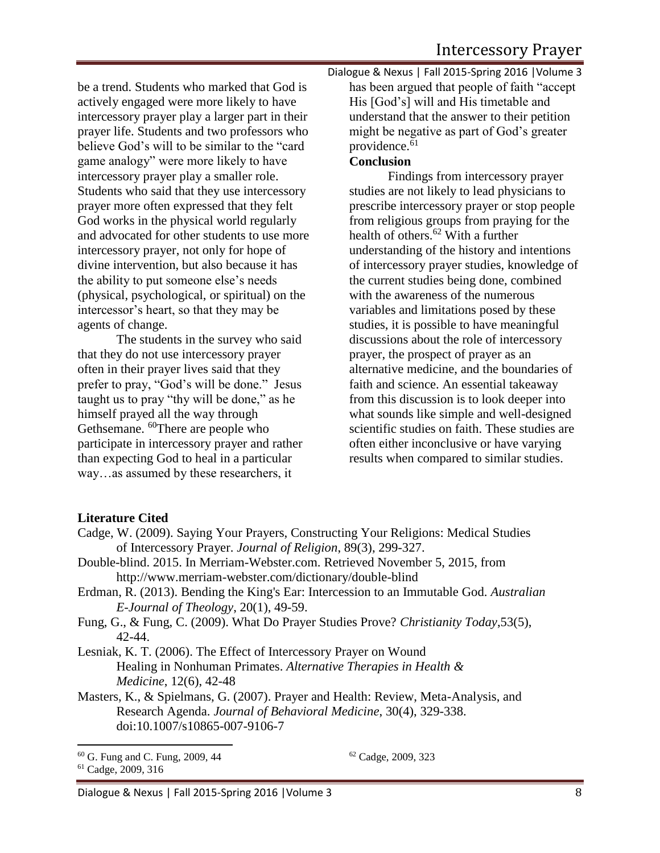be a trend. Students who marked that God is actively engaged were more likely to have intercessory prayer play a larger part in their prayer life. Students and two professors who believe God's will to be similar to the "card game analogy" were more likely to have intercessory prayer play a smaller role. Students who said that they use intercessory prayer more often expressed that they felt God works in the physical world regularly and advocated for other students to use more intercessory prayer, not only for hope of divine intervention, but also because it has the ability to put someone else's needs (physical, psychological, or spiritual) on the intercessor's heart, so that they may be agents of change.

The students in the survey who said that they do not use intercessory prayer often in their prayer lives said that they prefer to pray, "God's will be done." Jesus taught us to pray "thy will be done," as he himself prayed all the way through Gethsemane. <sup>60</sup>There are people who participate in intercessory prayer and rather than expecting God to heal in a particular way…as assumed by these researchers, it

Dialogue & Nexus | Fall 2015-Spring 2016 |Volume 3 has been argued that people of faith "accept His [God's] will and His timetable and understand that the answer to their petition might be negative as part of God's greater providence.<sup>61</sup>

## **Conclusion**

Findings from intercessory prayer studies are not likely to lead physicians to prescribe intercessory prayer or stop people from religious groups from praying for the health of others.<sup>62</sup> With a further understanding of the history and intentions of intercessory prayer studies, knowledge of the current studies being done, combined with the awareness of the numerous variables and limitations posed by these studies, it is possible to have meaningful discussions about the role of intercessory prayer, the prospect of prayer as an alternative medicine, and the boundaries of faith and science. An essential takeaway from this discussion is to look deeper into what sounds like simple and well-designed scientific studies on faith. These studies are often either inconclusive or have varying results when compared to similar studies.

## **Literature Cited**

- Cadge, W. (2009). Saying Your Prayers, Constructing Your Religions: Medical Studies of Intercessory Prayer. *Journal of Religion*, 89(3), 299-327.
- Double-blind. 2015. In Merriam-Webster.com. Retrieved November 5, 2015, from http://www.merriam-webster.com/dictionary/double-blind
- Erdman, R. (2013). Bending the King's Ear: Intercession to an Immutable God. *Australian E-Journal of Theology*, 20(1), 49-59.
- Fung, G., & Fung, C. (2009). What Do Prayer Studies Prove? *Christianity Today*,53(5), 42-44.
- Lesniak, K. T. (2006). The Effect of Intercessory Prayer on Wound Healing in Nonhuman Primates. *Alternative Therapies in Health & Medicine*, 12(6), 42-48
- Masters, K., & Spielmans, G. (2007). Prayer and Health: Review, Meta-Analysis, and Research Agenda. *Journal of Behavioral Medicine*, 30(4), 329-338. doi:10.1007/s10865-007-9106-7

 $\overline{a}$ 

<sup>62</sup> Cadge, 2009, 323

<sup>60</sup> G. Fung and C. Fung, 2009, 44

<sup>61</sup> Cadge, 2009, 316